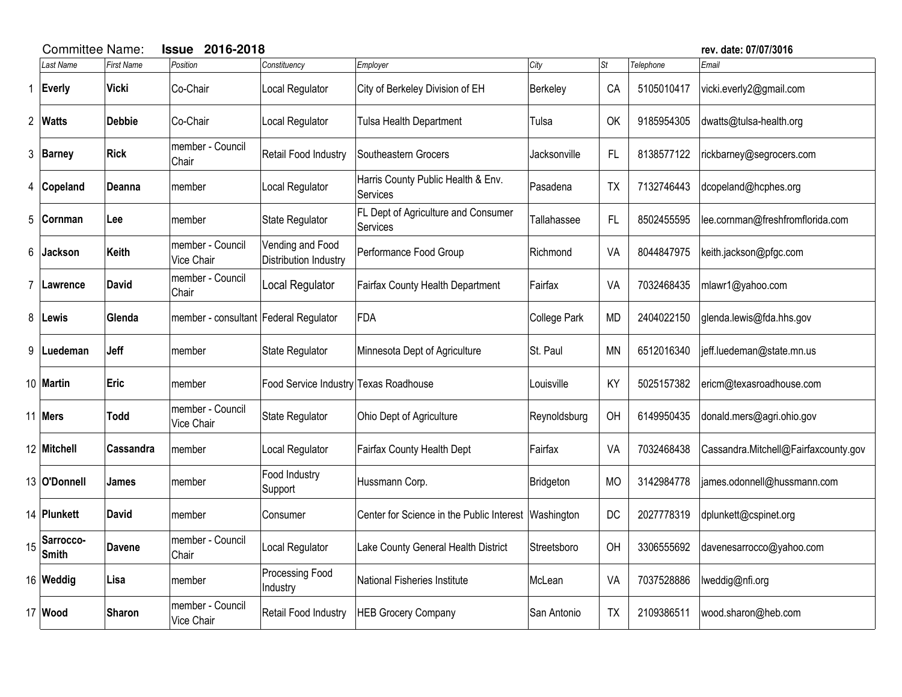|    | <b>Committee Name:</b> | <b>Issue</b>      | rev. date: 07/07/3016                 |                                           |                                                       |              |           |            |                                      |
|----|------------------------|-------------------|---------------------------------------|-------------------------------------------|-------------------------------------------------------|--------------|-----------|------------|--------------------------------------|
|    | <b>Last Name</b>       | <b>First Name</b> | Position                              | Constituency                              | Employer                                              | City         | St        | Telephone  | Email                                |
| 1  | Everly                 | <b>Vicki</b>      | Co-Chair                              | Local Regulator                           | City of Berkeley Division of EH                       | Berkeley     | CA        | 5105010417 | vicki.everly2@gmail.com              |
|    | 2 Watts                | <b>Debbie</b>     | Co-Chair                              | Local Regulator                           | <b>Tulsa Health Department</b>                        | Tulsa        | OK        | 9185954305 | dwatts@tulsa-health.org              |
|    | 3 Barney               | <b>Rick</b>       | member - Council<br>Chair             | Retail Food Industry                      | Southeastern Grocers                                  | Jacksonville | FL        | 8138577122 | rickbarney@segrocers.com             |
| 4  | Copeland               | Deanna            | member                                | Local Regulator                           | Harris County Public Health & Env.<br><b>Services</b> | Pasadena     | <b>TX</b> | 7132746443 | dcopeland@hcphes.org                 |
| 5  | Cornman                | Lee               | member                                | <b>State Regulator</b>                    | FL Dept of Agriculture and Consumer<br>Services       | Tallahassee  | FL        | 8502455595 | lee.cornman@freshfromflorida.com     |
| 6  | <b>Jackson</b>         | Keith             | member - Council<br>Vice Chair        | Vending and Food<br>Distribution Industry | Performance Food Group                                | Richmond     | VA        | 8044847975 | keith.jackson@pfgc.com               |
| 7  | Lawrence               | <b>David</b>      | member - Council<br>Chair             | Local Regulator                           | Fairfax County Health Department                      | Fairfax      | VA        | 7032468435 | mlawr1@yahoo.com                     |
| 8  | ∣Lewis                 | Glenda            | member - consultant Federal Regulator |                                           | FDA                                                   | College Park | <b>MD</b> | 2404022150 | glenda.lewis@fda.hhs.gov             |
| 9  | Luedeman               | Jeff              | member                                | <b>State Regulator</b>                    | Minnesota Dept of Agriculture                         | St. Paul     | ΜN        | 6512016340 | jeff.luedeman@state.mn.us            |
|    | 10 Martin              | Eric              | member                                | Food Service Industry Texas Roadhouse     |                                                       | Louisville   | KY        | 5025157382 | ericm@texasroadhouse.com             |
|    | 11 Mers                | <b>Todd</b>       | member - Council<br>Vice Chair        | State Regulator                           | Ohio Dept of Agriculture                              | Reynoldsburg | OH        | 6149950435 | donald.mers@agri.ohio.gov            |
|    | 12 Mitchell            | Cassandra         | member                                | Local Regulator                           | Fairfax County Health Dept                            | Fairfax      | VA        | 7032468438 | Cassandra.Mitchell@Fairfaxcounty.gov |
|    | 13 O'Donnell           | James             | member                                | Food Industry<br>Support                  | Hussmann Corp.                                        | Bridgeton    | <b>MO</b> | 3142984778 | james.odonnell@hussmann.com          |
|    | 14 Plunkett            | <b>David</b>      | member                                | Consumer                                  | Center for Science in the Public Interest             | Washington   | <b>DC</b> | 2027778319 | dplunkett@cspinet.org                |
| 15 | Sarrocco-<br>Smith     | <b>Davene</b>     | member - Council<br>Chair             | Local Regulator                           | Lake County General Health District                   | Streetsboro  | OH        | 3306555692 | davenesarrocco@yahoo.com             |
|    | 16 Weddig              | Lisa              | member                                | Processing Food<br>Industry               | National Fisheries Institute                          | McLean       | VA        | 7037528886 | lweddig@nfi.org                      |
|    | 17 Wood                | <b>Sharon</b>     | member - Council<br>Vice Chair        | Retail Food Industry                      | <b>HEB Grocery Company</b>                            | San Antonio  | <b>TX</b> | 2109386511 | wood.sharon@heb.com                  |